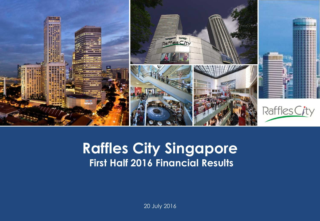

#### **Capital Raffles City Singapore Presentation Template First Half 2016 Financial Results**

20 July 2016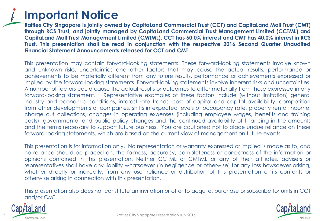

**Raffles City Singapore is jointly owned by CapitaLand Commercial Trust (CCT) and CapitaLand Mall Trust (CMT) through RCS Trust, and jointly managed by CapitaLand Commercial Trust Management Limited (CCTML) and** Capitaland Mall Trust Management Limited (CMTML). CCT has 60.0% interest and CMT has 40.0% interest in RCS **Trust. This presentation shall be read in conjunction with the respective 2016 Second Quarter Unaudited Financial Statement Announcements released for CCT and CMT.**

This presentation may contain forward-looking statements. These forward-looking statements involve known and unknown risks, uncertainties and other factors that may cause the actual results, performance or achievements to be materially different from any future results, performance or achievements expressed or implied by the forward-looking statements. Forward-looking statements involve inherent risks and uncertainties. A number of factors could cause the actual results or outcomes to differ materially from those expressed in any forward-looking statement. Representative examples of these factors include (without limitation) general industry and economic conditions, interest rate trends, cost of capital and capital availability, competition from other developments or companies, shifts in expected levels of occupancy rate, property rental income, charge out collections, changes in operating expenses (including employee wages, benefits and training costs), governmental and public policy changes and the continued availability of financing in the amounts and the terms necessary to support future business. You are cautioned not to place undue reliance on these forward-looking statements, which are based on the current view of management on future events.

This presentation is for information only. No representation or warranty expressed or implied is made as to, and no reliance should be placed on, the fairness, accuracy, completeness or correctness of the information or opinions contained in this presentation. Neither CCTML or CMTML or any of their affiliates, advisers or representatives shall have any liability whatsoever (in negligence or otherwise) for any loss howsoever arising, whether directly or indirectly, from any use, reliance or distribution of this presentation or its contents or otherwise arising in connection with this presentation.

This presentation also does not constitute an invitation or offer to acquire, purchase or subscribe for units in CCT and/or CMT.



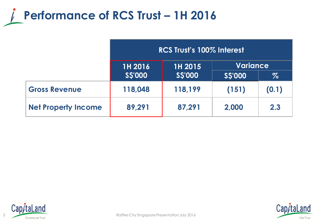

|                            | RCS Trust's 100% Interest |               |                 |       |
|----------------------------|---------------------------|---------------|-----------------|-------|
|                            | <b>1H 2016</b>            | 1H 2015       | <b>Variance</b> |       |
|                            | <b>SS'000</b>             | <b>SS'000</b> | <b>SS'000</b>   | $\%$  |
| <b>Gross Revenue</b>       | 118,048                   | 118,199       | (151)           | (0.1) |
| <b>Net Property Income</b> | 89,291                    | 87,291        | 2,000           | 2.3   |





3 Commercial Trust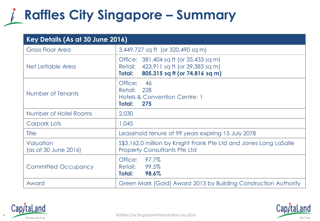## **Raffles City Singapore – Summary**

| Key Details (As at 30 June 2016)  |                                                                                                                              |  |  |  |
|-----------------------------------|------------------------------------------------------------------------------------------------------------------------------|--|--|--|
| <b>Gross Floor Area</b>           | 3,449,727 sq ft (or 320,490 sq m)                                                                                            |  |  |  |
| Net Lettable Area                 | Office: 381,404 sq ft (or 35,433 sq m)<br>Retail: 423,911 sq ft (or 39,383 sq m)<br>805,315 sq ft (or 74,816 sq m)<br>Total: |  |  |  |
| Number of Tenants                 | Office:<br>46<br>228<br>Retail:<br>Hotels & Convention Centre: 1<br>Total:<br>275                                            |  |  |  |
| Number of Hotel Rooms             | 2,030                                                                                                                        |  |  |  |
| Carpark Lots                      | 1,045                                                                                                                        |  |  |  |
| Title                             | Leasehold tenure of 99 years expiring 15 July 2078                                                                           |  |  |  |
| Valuation<br>(as at 30 June 2016) | \$\$3,162.0 million by Knight Frank Pte Ltd and Jones Lang LaSalle<br><b>Property Consultants Pte Ltd</b>                    |  |  |  |
| <b>Committed Occupancy</b>        | 97.7%<br>Office:<br>99.5%<br>Retail:<br>98.6%<br>Total:                                                                      |  |  |  |
| Award                             | Green Mark (Gold) Award 2013 by Building Construction Authority                                                              |  |  |  |



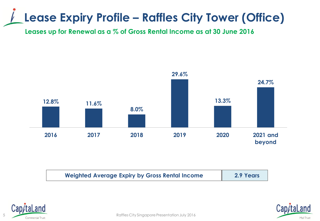### **Lease Expiry Profile – Raffles City Tower (Office)**

**Leases up for Renewal as a % of Gross Rental Income as at 30 June 2016**



| <b>Weighted Average Expiry by Gross Rental Income</b> | 2.9 Years |
|-------------------------------------------------------|-----------|
|-------------------------------------------------------|-----------|





5 **Commercial Trust**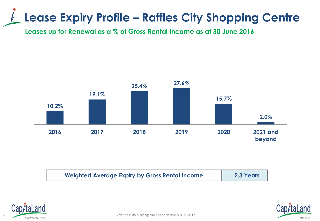#### **Lease Expiry Profile – Raffles City Shopping Centre**

**Leases up for Renewal as a % of Gross Rental Income as at 30 June 2016**







Raffles City Singapore Presentation July 2016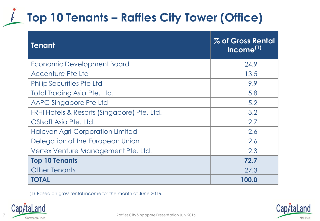## **Top 10 Tenants – Raffles City Tower (Office)**

| <b>Tenant</b>                               | % of Gross Rental<br>Income <sup>(1)</sup> |
|---------------------------------------------|--------------------------------------------|
| Economic Development Board                  | 24.9                                       |
| Accenture Pte Ltd                           | 13.5                                       |
| <b>Philip Securities Pte Ltd</b>            | 9.9                                        |
| Total Trading Asia Pte. Ltd.                | 5.8                                        |
| AAPC Singapore Pte Ltd                      | 5.2                                        |
| FRHI Hotels & Resorts (Singapore) Pte. Ltd. | 3.2                                        |
| OSIsoft Asia Pte. Ltd.                      | 2.7                                        |
| <b>Halcyon Agri Corporation Limited</b>     | 2.6                                        |
| Delegation of the European Union            | 2.6                                        |
| Vertex Venture Management Pte. Ltd.         | 2.3                                        |
| <b>Top 10 Tenants</b>                       | 72.7                                       |
| <b>Other Tenants</b>                        | 27.3                                       |
| <b>TOTAL</b>                                | 100.0                                      |

(1) Based on gross rental income for the month of June 2016.



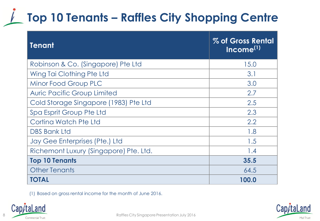## **Top 10 Tenants – Raffles City Shopping Centre**

| <b>Tenant</b>                          | % of Gross Rental<br>$Income^{(1)}$ |
|----------------------------------------|-------------------------------------|
| Robinson & Co. (Singapore) Pte Ltd     | 15.0                                |
| Wing Tai Clothing Pte Ltd              | 3.1                                 |
| Minor Food Group PLC                   | 3.0                                 |
| <b>Auric Pacific Group Limited</b>     | 2.7                                 |
| Cold Storage Singapore (1983) Pte Ltd  | 2.5                                 |
| Spa Esprit Group Pte Ltd               | 2.3                                 |
| Cortina Watch Pte Ltd                  | 2.2                                 |
| <b>DBS Bank Ltd</b>                    | 1.8                                 |
| Jay Gee Enterprises (Pte.) Ltd         | 1.5                                 |
| Richemont Luxury (Singapore) Pte. Ltd. | 1.4                                 |
| <b>Top 10 Tenants</b>                  | 35.5                                |
| <b>Other Tenants</b>                   | 64.5                                |
| <b>TOTAL</b>                           | 100.0                               |

(1) Based on gross rental income for the month of June 2016.



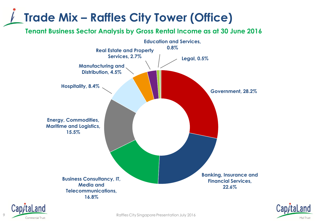### **Trade Mix – Raffles City Tower (Office)**

**Tenant Business Sector Analysis by Gross Rental Income as at 30 June 2016**







extending to the Commercial Trust Commercial Trust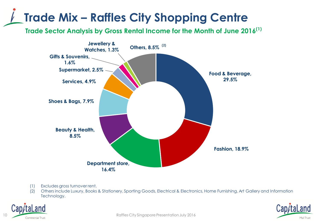## **Trade Mix – Raffles City Shopping Centre**

**Trade Sector Analysis by Gross Rental Income for the Month of June 2016(1)**



- (1) Excludes gross turnover rent.
- (2) Others include Luxury, Books & Stationery, Sporting Goods, Electrical & Electronics, Home Furnishing, Art Gallery and Information Technology.